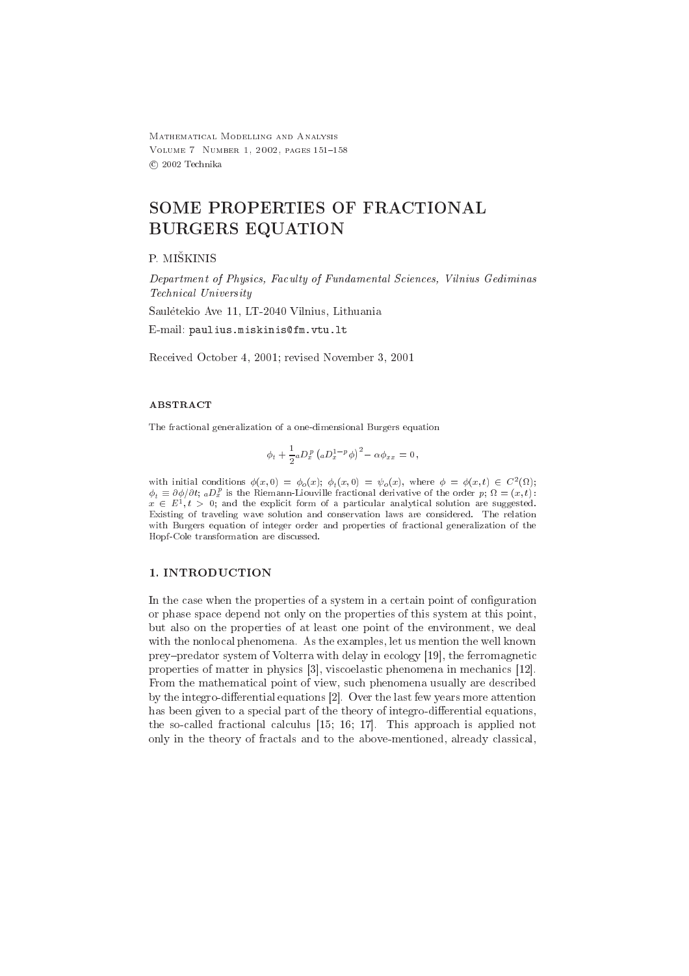MATHEMATICAL MODELLING AND ANALYSIS VOLUME 7 NUMBER 1, 2002, PAGES 151-158 @ 2002 Technika

# SOME PROPERTIES OF FRACTIONAL **BURGERS EQUATION**

P. MIŠKINIS

Department of Physics, Faculty of Fundamental Sciences, Vilnius Gediminas Technical University

Saulėtekio Ave 11, LT-2040 Vilnius, Lithuania

E-mail: paulius.miskinis@fm.vtu.lt

Received October 4, 2001; revised November 3, 2001

## **ABSTRACT**

The fractional generalization of a one-dimensional Burgers equation

$$
\phi_t + \frac{1}{2} a D_x^p \left( a D_x^{1-p} \phi \right)^2 - \alpha \phi_{xx} = 0
$$

with initial conditions  $\phi(x,0) = \phi_o(x)$ ;  $\phi_t(x,0) = \psi_o(x)$ , where  $\phi = \phi(x,t) \in C^2(\Omega)$ ;  $\phi_t \equiv \partial \phi / \partial t$ ;  ${}_aD_x^p$  is the Riemann-Liouville fractional derivative of the order p;  $\Omega = (x, t)$ .  $x \in E^1, t > 0$ ; and the explicit form of a particular analytical solution are suggested. Existing of traveling wave solution and conservation laws are considered. The relation with Burgers equation of integer order and properties of fractional generalization of the Hopf-Cole transformation are discussed.

# 1. INTRODUCTION

In the case when the properties of a system in a certain point of configuration or phase space depend not only on the properties of this system at this point, but also on the properties of at least one point of the environment, we deal with the nonlocal phenomena. As the examples, let us mention the well known prey-predator system of Volterra with delay in ecology [19], the ferromagnetic properties of matter in physics [3], viscoelastic phenomena in mechanics [12]. From the mathematical point of view, such phenomena usually are described by the integro-differential equations [2]. Over the last few years more attention has been given to a special part of the theory of integro-differential equations, the so-called fractional calculus  $[15; 16; 17]$ . This approach is applied not only in the theory of fractals and to the above-mentioned, already classical,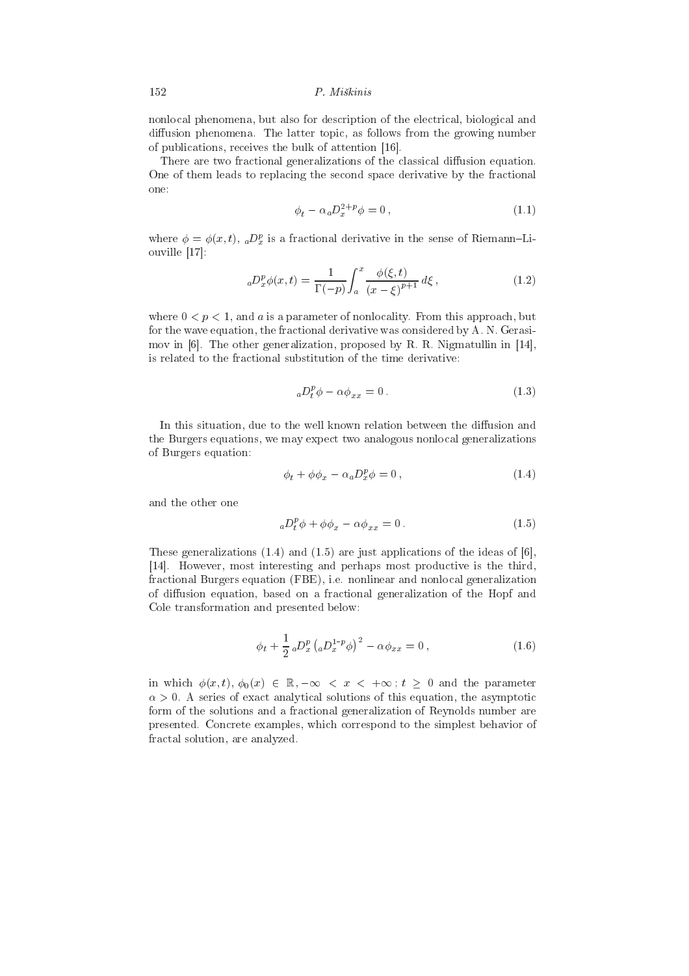nonlocal phenomena, but also for description of the electrical, biological and diffusion phenomena. The latter topic, as follows from the growing number of publications, receives the bulk of attention [16].

There are two fractional generalizations of the classical diffusion equation. One of them leads to replacing the second space derivative by the fractional one:

$$
\phi_t - \alpha_a D_x^{2+p} \phi = 0, \qquad (1.1)
$$

where  $\phi = \phi(x, t)$ ,  $_aD_x^p$  is a fractional derivative in the sense of Riemann-Liouville  $[17]$ :

$$
{}_{a}D_{x}^{p}\phi(x,t) = \frac{1}{\Gamma(-p)} \int_{a}^{x} \frac{\phi(\xi,t)}{(x-\xi)^{p+1}} d\xi,
$$
\n(1.2)

where  $0 < p < 1$ , and a is a parameter of nonlocality. From this approach, but for the wave equation, the fractional derivative was considered by A. N. Gerasimov in  $[6]$ . The other generalization, proposed by R. R. Nigmatullin in  $[14]$ , is related to the fractional substitution of the time derivative:

$$
{}_{a}D_{t}^{p}\phi - \alpha \phi_{xx} = 0. \qquad (1.3)
$$

In this situation, due to the well known relation between the diffusion and the Burgers equations, we may expect two analogous nonlocal generalizations of Burgers equation:

$$
\phi_t + \phi \phi_x - \alpha_a D_x^p \phi = 0, \qquad (1.4)
$$

and the other one

$$
{}_{a}D_{t}^{p}\phi + \phi\phi_{x} - \alpha\phi_{xx} = 0. \qquad (1.5)
$$

These generalizations (1.4) and (1.5) are just applications of the ideas of [6]. [14]. However, most interesting and perhaps most productive is the third, fractional Burgers equation (FBE), i.e. nonlinear and nonlocal generalization of diffusion equation, based on a fractional generalization of the Hopf and Cole transformation and presented below:

$$
\phi_t + \frac{1}{2} \, _aD_x^p \left( _aD_x^{1-p} \phi \right)^2 - \alpha \phi_{xx} = 0 \,, \tag{1.6}
$$

in which  $\phi(x,t), \phi_0(x) \in \mathbb{R}, -\infty < x < +\infty$ ;  $t \geq 0$  and the parameter  $\alpha > 0$ . A series of exact analytical solutions of this equation, the asymptotic form of the solutions and a fractional generalization of Reynolds number are presented. Concrete examples, which correspond to the simplest behavior of fractal solution, are analyzed.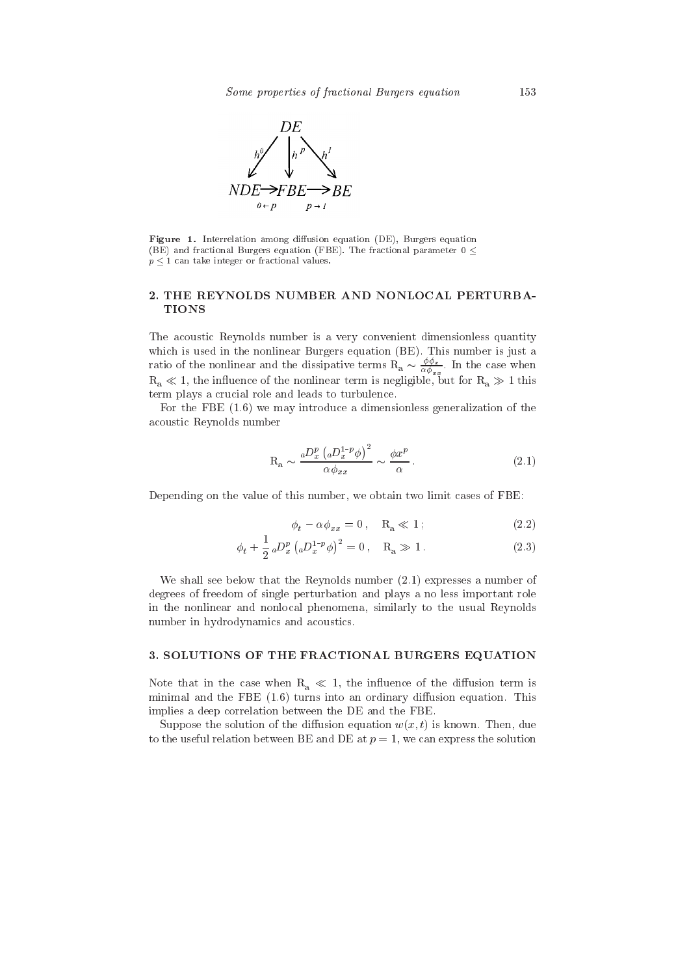

Figure 1. Interrelation among diffusion equation (DE), Burgers equation (BE) and fractional Burgers equation (FBE). The fractional parameter 0 <  $p < 1$  can take integer or fractional values.

# 2. THE REYNOLDS NUMBER AND NONLOCAL PERTURBA-**TIONS**

The acoustic Reynolds number is a very convenient dimensionless quantity which is used in the nonlinear Burgers equation (BE). This number is just a which is used in the hominear Durgers equation (DD). This number is just a<br>ratio of the nonlinear and the dissipative terms  $R_a \sim \frac{\phi \phi_x}{\alpha \phi_{x_x}}$ . In the case when<br> $R_a \ll 1$ , the influence of the nonlinear term is negligi term plays a crucial role and leads to turbulence.

For the FBE  $(1.6)$  we may introduce a dimensionless generalization of the acoustic Reynolds number

$$
R_a \sim \frac{{}_a D_x^p \left( {}_a D_x^{1-p} \phi \right)^2}{\alpha \phi_{xx}} \sim \frac{\phi x^p}{\alpha} \,. \tag{2.1}
$$

Depending on the value of this number, we obtain two limit cases of FBE.

$$
\phi_t - \alpha \phi_{xx} = 0, \quad \mathcal{R}_a \ll 1 \tag{2.2}
$$

$$
\phi_t + \frac{1}{2} \, _aD_x^p \left( _aD_x^{1-p} \phi \right)^2 = 0 \,, \quad R_a \gg 1 \,. \tag{2.3}
$$

We shall see below that the Reynolds number  $(2.1)$  expresses a number of degrees of freedom of single perturbation and plays a no less important role in the nonlinear and nonlocal phenomena, similarly to the usual Reynolds number in hydrodynamics and acoustics.

# 3. SOLUTIONS OF THE FRACTIONAL BURGERS EQUATION

Note that in the case when  $R_a \ll 1$ , the influence of the diffusion term is minimal and the FBE  $(1.6)$  turns into an ordinary diffusion equation. This implies a deep correlation between the DE and the FBE.

Suppose the solution of the diffusion equation  $w(x, t)$  is known. Then, due to the useful relation between BE and DE at  $p = 1$ , we can express the solution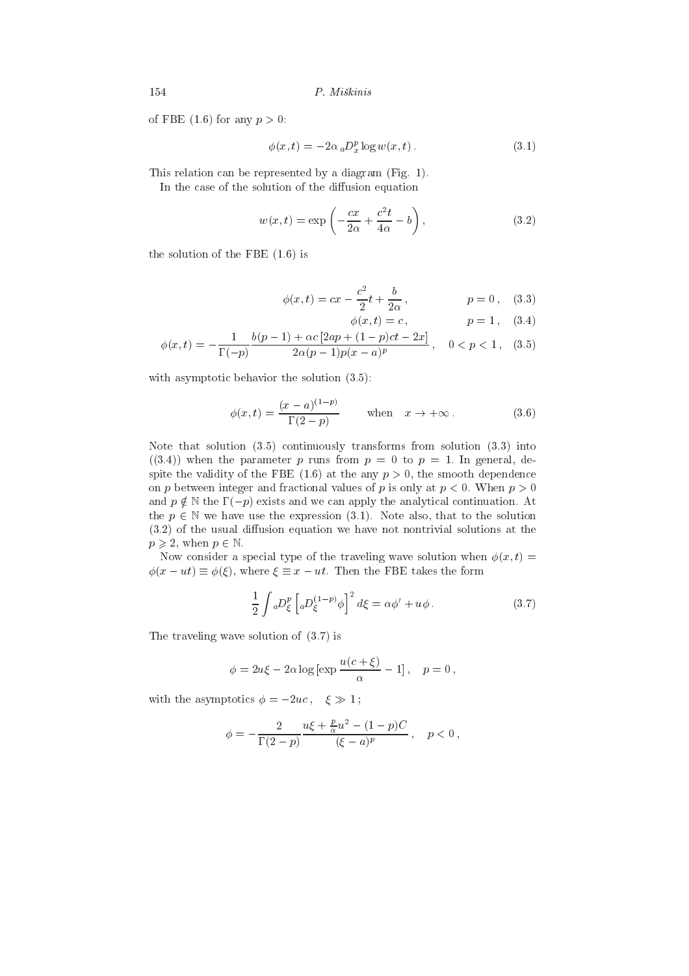of FBE (1.6) for any  $p > 0$ :

$$
\phi(x,t) = -2\alpha \, {}_aD_x^p \log w(x,t) \,. \tag{3.1}
$$

This relation can be represented by a diagram (Fig. 1).

In the case of the solution of the diffusion equation

$$
w(x,t) = \exp\left(-\frac{cx}{2\alpha} + \frac{c^2t}{4\alpha} - b\right),\tag{3.2}
$$

the solution of the FBE  $(1.6)$  is

$$
\phi(x,t) = cx - \frac{c^2}{2}t + \frac{b}{2\alpha}, \qquad p = 0, \quad (3.3)
$$

$$
\phi(x,t) = c, \qquad p = 1, \quad (3.4)
$$

$$
\phi(x,t) = -\frac{1}{\Gamma(-p)} \frac{b(p-1) + \alpha c \left[2ap + (1-p)ct - 2x\right]}{2\alpha(p-1)p(x-a)^p}, \quad 0 < p < 1,\tag{3.5}
$$

with asymptotic behavior the solution  $(3.5)$ :

$$
\phi(x,t) = \frac{(x-a)^{(1-p)}}{\Gamma(2-p)} \quad \text{when} \quad x \to +\infty. \tag{3.6}
$$

Note that solution  $(3.5)$  continuously transforms from solution  $(3.3)$  into  $((3.4))$  when the parameter p runs from  $p = 0$  to  $p = 1$ . In general, despite the validity of the FBE (1.6) at the any  $p > 0$ , the smooth dependence on p between integer and fractional values of p is only at  $p < 0$ . When  $p > 0$ and  $p \notin \mathbb{N}$  the  $\Gamma(-p)$  exists and we can apply the analytical continuation. At the  $p \in \mathbb{N}$  we have use the expression (3.1). Note also, that to the solution  $(3.2)$  of the usual diffusion equation we have not nontrivial solutions at the  $p \geqslant 2$ , when  $p \in \mathbb{N}$ .

Now consider a special type of the traveling wave solution when  $\phi(x, t) =$  $\phi(x - ut) \equiv \phi(\xi)$ , where  $\xi \equiv x - ut$ . Then the FBE takes the form

$$
\frac{1}{2} \int_{a}^{b} D_{\xi}^{p} \left[ {}_{a}D_{\xi}^{(1-p)} \phi \right]^{2} d\xi = \alpha \phi' + u\phi \,. \tag{3.7}
$$

The traveling wave solution of  $(3.7)$  is

$$
\phi = 2u\xi - 2\alpha \log \left[\exp \frac{u(c+\xi)}{\alpha} - 1\right], \quad p = 0,
$$

with the asymptotics  $\phi = -2uc, \xi \gg 1$ ;

$$
\phi = -\frac{2}{\Gamma(2-p)} \frac{u\xi + \frac{p}{\alpha}u^2 - (1-p)C}{(\xi - a)^p}, \quad p < 0,
$$

154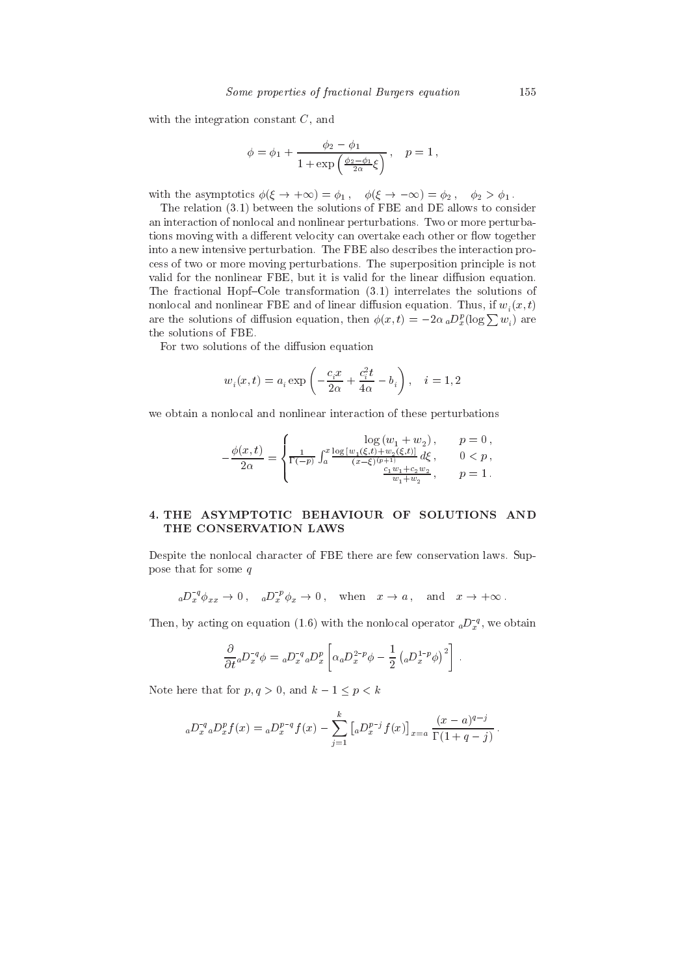with the integration constant  $C$ , and

$$
\phi = \phi_1 + \frac{\phi_2 - \phi_1}{1 + \exp\left(\frac{\phi_2 - \phi_1}{2\alpha}\xi\right)}, \quad p = 1,
$$

with the asymptotics  $\phi(\xi \to +\infty) = \phi_1$ ,  $\phi(\xi \to -\infty) = \phi_2$ ,  $\phi_2 > \phi_1$ .

The relation (3.1) between the solutions of FBE and DE allows to consider an interaction of nonlocal and nonlinear perturbations. Two or more perturbations moving with a different velocity can overtake each other or flow together into a new intensive perturbation. The FBE also describes the interaction process of two or more moving perturbations. The superposition principle is not valid for the nonlinear FBE, but it is valid for the linear diffusion equation. The fractional Hopf-Cole transformation  $(3.1)$  interrelates the solutions of nonlocal and nonlinear FBE and of linear diffusion equation. Thus, if  $w_i(x, t)$ are the solutions of diffusion equation, then  $\phi(x,t) = -2\alpha_a D_x^p(\log \sum w_i)$  are the solutions of FBE.

For two solutions of the diffusion equation

$$
w_i(x,t) = a_i \exp\left(-\frac{c_i x}{2\alpha} + \frac{c_i^2 t}{4\alpha} - b_i\right), \quad i = 1, 2
$$

we obtain a nonlocal and nonlinear interaction of these perturbations

$$
-\frac{\phi(x,t)}{2\alpha} = \begin{cases} \frac{\log{(w_1+w_2)}}, & p = 0 \,, \\ \frac{1}{\Gamma(-p)} \int_a^x \frac{\log{[w_1(\xi,t)+w_2(\xi,t)]}}{(x-\xi)^{(p+1)}} \, d\xi, & 0 < p \,, \\ \frac{c_1 w_1 + c_2 w_2}{w_1 + w_2}, & p = 1 \,. \end{cases}
$$

# 4. THE ASYMPTOTIC BEHAVIOUR OF SOLUTIONS AND THE CONSERVATION LAWS

Despite the nonlocal character of FBE there are few conservation laws. Suppose that for some  $q$ 

$$
{}_{a}D_{x}^{-q}\phi_{xx} \to 0\,, \quad {}_{a}D_{x}^{-p}\phi_{x} \to 0\,, \quad \text{when} \quad x \to a\,, \quad \text{and} \quad x \to +\infty\,.
$$

Then, by acting on equation (1.6) with the nonlocal operator  ${_aD_x^{-q}}$ , we obtain

$$
\frac{\partial}{\partial t}{}_a D_x^{-q} \phi = {}_a D_x^{-q} {}_a D_x^p \left[ \alpha {}_a D_x^{2-p} \phi - \frac{1}{2} \left( {}_a D_x^{1-p} \phi \right)^2 \right] .
$$

Note here that for  $p, q > 0$ , and  $k - 1 \le p < k$ 

$$
{}_{a}D_{x}^{-q}{}_{a}D_{x}^{p}f(x) = {}_{a}D_{x}^{p-q}f(x) - \sum_{j=1}^{k} \left[ {}_{a}D_{x}^{p-j}f(x) \right]_{x=a} \frac{(x-a)^{q-j}}{\Gamma(1+q-j)}
$$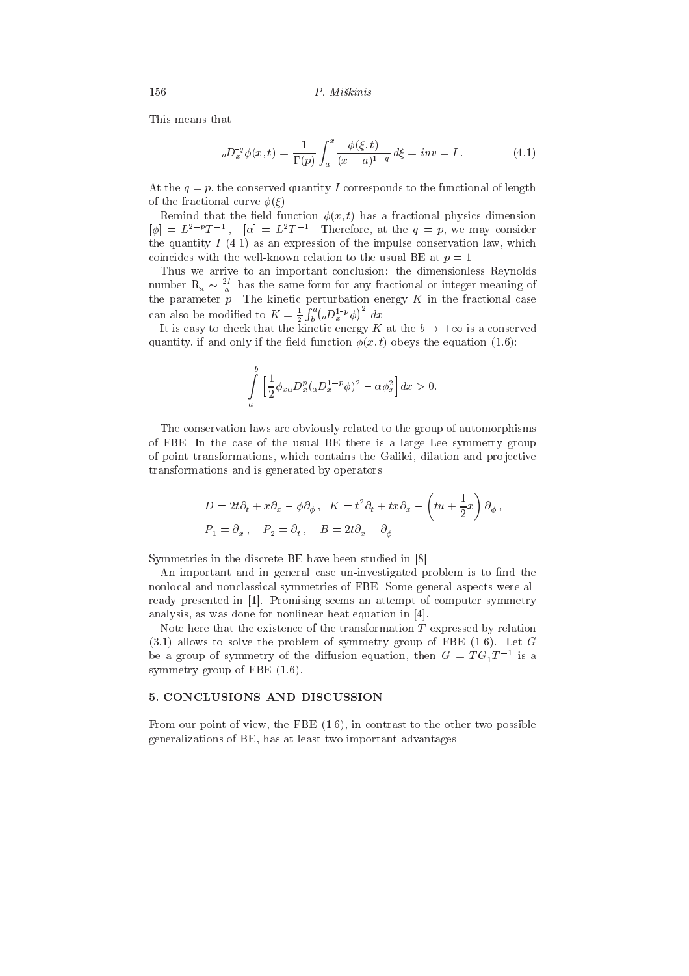This means that

$$
{}_{a}D_{x}^{-q}\phi(x,t) = \frac{1}{\Gamma(p)} \int_{a}^{x} \frac{\phi(\xi,t)}{(x-a)^{1-q}} d\xi = inv = I.
$$
 (4.1)

At the  $q = p$ , the conserved quantity I corresponds to the functional of length of the fractional curve  $\phi(\xi)$ .

Remind that the field function  $\phi(x, t)$  has a fractional physics dimension  $[\phi] = L^{2-p}T^{-1}$ ,  $[\alpha] = L^2T^{-1}$ . Therefore, at the  $q = p$ , we may consider the quantity  $I(4.1)$  as an expression of the impulse conservation law, which coincides with the well-known relation to the usual BE at  $p=1$ .

Thus we arrive to an important conclusion: the dimensionless Reynolds number  $R_a \sim \frac{2I}{\alpha}$  has the same form for any fractional or integer meaning of<br>the parameter p. The kinetic perturbation energy K in the fractional case can also be modified to  $K = \frac{1}{2} \int_b^a ({}_{a}D_x^{1-p}\phi)^2 dx$ .

It is easy to check that the kinetic energy K at the  $b \to +\infty$  is a conserved quantity, if and only if the field function  $\phi(x,t)$  obeys the equation (1.6):

$$
\int_{a}^{b} \left[ \frac{1}{2} \phi_{x\alpha} D_x^p (\alpha D_x^{1-p} \phi)^2 - \alpha \phi_x^2 \right] dx > 0.
$$

The conservation laws are obviously related to the group of automorphisms of FBE. In the case of the usual BE there is a large Lee symmetry group of point transformations, which contains the Galilei, dilation and projective transformations and is generated by operators

$$
D = 2t\partial_t + x\partial_x - \phi\partial_\phi, \quad K = t^2\partial_t + tx\partial_x - \left( tu + \frac{1}{2}x \right) \partial_\phi,
$$
  

$$
P_1 = \partial_x, \quad P_2 = \partial_t, \quad B = 2t\partial_x - \partial_\phi.
$$

Symmetries in the discrete BE have been studied in [8].

An important and in general case un-investigated problem is to find the nonlocal and nonclassical symmetries of FBE. Some general aspects were already presented in [1]. Promising seems an attempt of computer symmetry analysis, as was done for nonlinear heat equation in [4].

Note here that the existence of the transformation  $T$  expressed by relation  $(3.1)$  allows to solve the problem of symmetry group of FBE  $(1.6)$ . Let G be a group of symmetry of the diffusion equation, then  $G = TG_1T^{-1}$  is a symmetry group of FBE  $(1.6)$ .

## 5. CONCLUSIONS AND DISCUSSION

From our point of view, the FBE  $(1.6)$ , in contrast to the other two possible generalizations of BE, has at least two important advantages: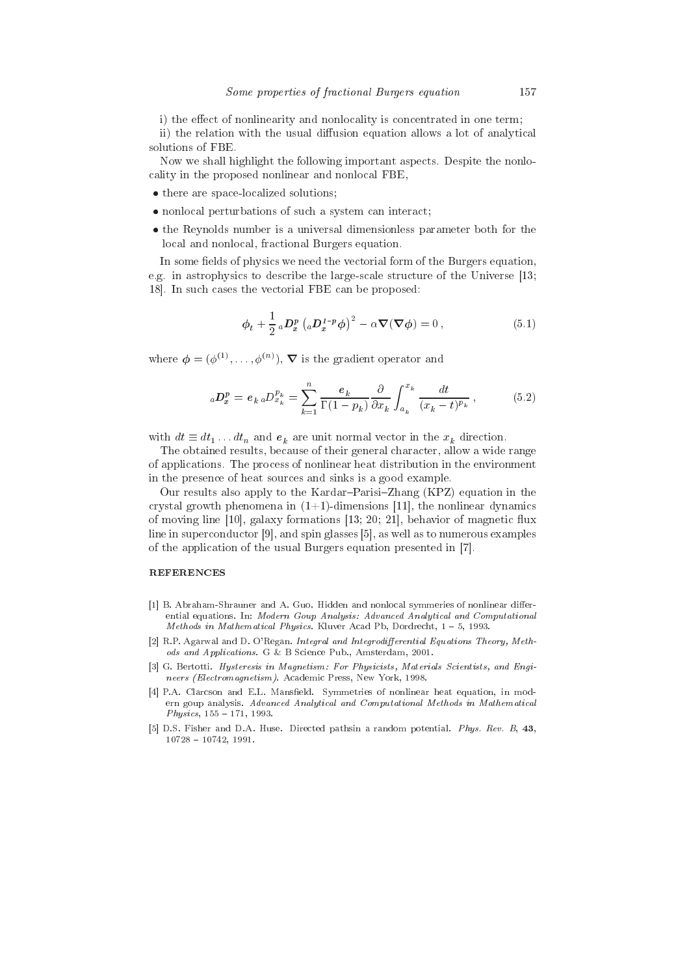i) the effect of nonlinearity and nonlocality is concentrated in one term;

ii) the relation with the usual diffusion equation allows a lot of analytical solutions of FBE.

Now we shall highlight the following important aspects. Despite the nonlocality in the proposed nonlinear and nonlocal FBE,

- there are space-localized solutions;
- nonlocal perturbations of such a system can interact;
- the Reynolds number is a universal dimensionless parameter both for the local and nonlocal, fractional Burgers equation.

In some fields of physics we need the vectorial form of the Burgers equation. e.g. in astrophysics to describe the large-scale structure of the Universe [13; 18. In such cases the vectorial FBE can be proposed:

$$
\phi_t + \frac{1}{2} \, _aD_x^p \left( _aD_x^{1-p} \phi \right)^2 - \alpha \nabla(\nabla \phi) = 0 \,, \tag{5.1}
$$

where  $\phi = (\phi^{(1)}, \ldots, \phi^{(n)})$ ,  $\nabla$  is the gradient operator and

$$
{}_{a}D_{x}^{p} = e_{k} {}_{a}D_{x_{k}}^{p_{k}} = \sum_{k=1}^{n} \frac{e_{k}}{\Gamma(1-p_{k})} \frac{\partial}{\partial x_{k}} \int_{a_{k}}^{x_{k}} \frac{dt}{(x_{k}-t)^{p_{k}}}, \qquad (5.2)
$$

with  $dt \equiv dt_1 \dots dt_n$  and  $e_k$  are unit normal vector in the  $x_k$  direction.

The obtained results, because of their general character, allow a wide range of applications. The process of nonlinear heat distribution in the environment in the presence of heat sources and sinks is a good example.

Our results also apply to the Kardar-Parisi-Zhang (KPZ) equation in the crystal growth phenomena in  $(1+1)$ -dimensions [11], the nonlinear dynamics of moving line  $[10]$ , galaxy formations  $[13; 20; 21]$ , behavior of magnetic flux line in superconductor  $[9]$ , and spin glasses  $[5]$ , as well as to numerous examples of the application of the usual Burgers equation presented in [7].

#### **REFERENCES**

- [1] B. Abraham-Shrauner and A. Guo. Hidden and nonlocal symmeries of nonlinear differential equations. In: Modern Goup Analysis: Advanced Analytical and Computational Methods in Mathematical Physics. Kluver Acad Pb, Dordrecht, 1-5, 1993.
- [2] R.P. Agarwal and D. O'Regan. Integral and Integrodifferential Equations Theory, Methods and Applications. G & B Science Pub., Amsterdam, 2001.
- [3] G. Bertotti. Hysteresis in Magnetism: For Physicists, Materials Scientists, and Engineers (Electromagnetism). Academic Press, New York, 1998.
- [4] P.A. Clarcson and E.L. Mansfield. Symmetries of nonlinear heat equation, in modern goup analysis. Advanced Analytical and Computational Methods in Mathematical  $Physics, 155 - 171, 1993.$
- [5] D.S. Fisher and D.A. Huse. Directed pathsin a random potential. Phys. Rev. B, 43,  $10728 - 10742$ , 1991.